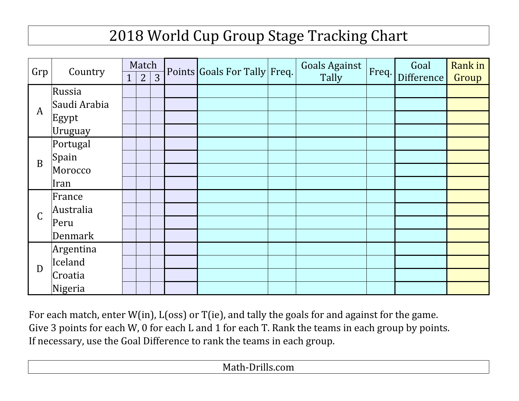## 2018 World Cup Group Stage Tracking Chart

| Grp | Country        | Match          |                |                | Points Goals For Tally Freq. | Goals Against | Freq. | Goal       | Rank in |
|-----|----------------|----------------|----------------|----------------|------------------------------|---------------|-------|------------|---------|
|     |                | $\overline{1}$ | $\overline{2}$ | $\overline{3}$ |                              | Tally         |       | Difference | Group   |
| A   | Russia         |                |                |                |                              |               |       |            |         |
|     | Saudi Arabia   |                |                |                |                              |               |       |            |         |
|     | Egypt          |                |                |                |                              |               |       |            |         |
|     | Uruguay        |                |                |                |                              |               |       |            |         |
| B   | Portugal       |                |                |                |                              |               |       |            |         |
|     | Spain          |                |                |                |                              |               |       |            |         |
|     | Morocco        |                |                |                |                              |               |       |            |         |
|     | Iran           |                |                |                |                              |               |       |            |         |
|     | France         |                |                |                |                              |               |       |            |         |
| C   | Australia      |                |                |                |                              |               |       |            |         |
|     | Peru           |                |                |                |                              |               |       |            |         |
|     | <b>Denmark</b> |                |                |                |                              |               |       |            |         |
| D   | Argentina      |                |                |                |                              |               |       |            |         |
|     | Iceland        |                |                |                |                              |               |       |            |         |
|     | Croatia        |                |                |                |                              |               |       |            |         |
|     | Nigeria        |                |                |                |                              |               |       |            |         |

Give 3 points for each W, 0 for each L and 1 for each T. Rank the teams in each group by points. If necessary, use the Goal Difference to rank the teams in each group. For each match, enter W(in), L(oss) or T(ie), and tally the goals for and against for the game.

Math-Drills.com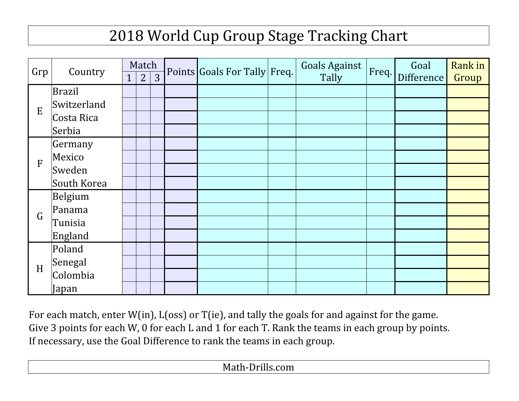## 2018 World Cup Group Stage Tracking Chart

| Grp | Country     | Match          |                |                | Points Goals For Tally Freq. | <b>Goals Against</b> | Freq. | Goal       | Rank in |
|-----|-------------|----------------|----------------|----------------|------------------------------|----------------------|-------|------------|---------|
|     |             | $\overline{1}$ | $\overline{2}$ | $\overline{3}$ |                              | Tally                |       | Difference | Group   |
| E   | Brazil      |                |                |                |                              |                      |       |            |         |
|     | Switzerland |                |                |                |                              |                      |       |            |         |
|     | Costa Rica  |                |                |                |                              |                      |       |            |         |
|     | Serbia      |                |                |                |                              |                      |       |            |         |
|     | Germany     |                |                |                |                              |                      |       |            |         |
| F   | Mexico      |                |                |                |                              |                      |       |            |         |
|     | Sweden      |                |                |                |                              |                      |       |            |         |
|     | South Korea |                |                |                |                              |                      |       |            |         |
|     | Belgium     |                |                |                |                              |                      |       |            |         |
| G   | Panama      |                |                |                |                              |                      |       |            |         |
|     | Tunisia     |                |                |                |                              |                      |       |            |         |
|     | England     |                |                |                |                              |                      |       |            |         |
| H   | Poland      |                |                |                |                              |                      |       |            |         |
|     | Senegal     |                |                |                |                              |                      |       |            |         |
|     | Colombia    |                |                |                |                              |                      |       |            |         |
|     | Japan       |                |                |                |                              |                      |       |            |         |

For each match, enter W(in), L(oss) or T(ie), and tally the goals for and against for the game. Give 3 points for each W, 0 for each L and 1 for each T. Rank the teams in each group by points. If necessary, use the Goal Difference to rank the teams in each group.

Math-Drills.com